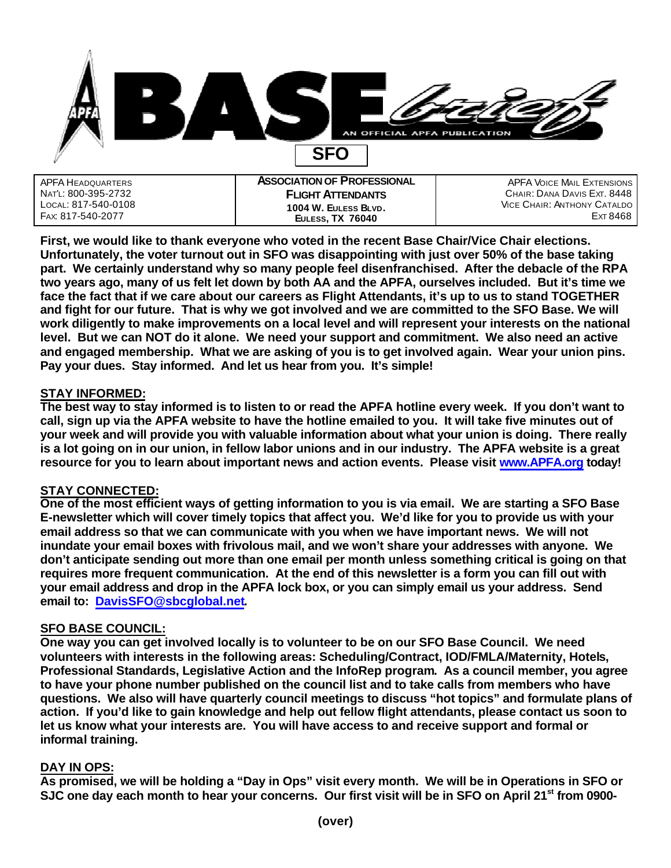

| APFA HEADQUARTERS                        | <b>ASSOCIATION OF PROFESSIONAL</b> | <b>APFA VOICE MAIL EXTENSIONS</b>      |
|------------------------------------------|------------------------------------|----------------------------------------|
| Nat'l: 800-395-2732                      | <b>FLIGHT ATTENDANTS</b>           | CHAIR: DANA DAVIS EXT. 8448            |
| LOCAL: 817-540-0108<br>Fax: 817-540-2077 | 1004 W. EULESS BLVD.               | VICE CHAIR: ANTHONY CATALDO<br>ExT8468 |
|                                          | <b>EULESS, TX 76040</b>            |                                        |

**First, we would like to thank everyone who voted in the recent Base Chair/Vice Chair elections. Unfortunately, the voter turnout out in SFO was disappointing with just over 50% of the base taking part. We certainly understand why so many people feel disenfranchised. After the debacle of the RPA two years ago, many of us felt let down by both AA and the APFA, ourselves included. But it's time we face the fact that if we care about our careers as Flight Attendants, it's up to us to stand TOGETHER and fight for our future. That is why we got involved and we are committed to the SFO Base. We will work diligently to make improvements on a local level and will represent your interests on the national level. But we can NOT do it alone. We need your support and commitment. We also need an active and engaged membership. What we are asking of you is to get involved again. Wear your union pins. Pay your dues. Stay informed. And let us hear from you. It's simple!** 

# **STAY INFORMED:**

**The best way to stay informed is to listen to or read the APFA hotline every week. If you don't want to call, sign up via the APFA website to have the hotline emailed to you. It will take five minutes out of your week and will provide you with valuable information about what your union is doing. There really is a lot going on in our union, in fellow labor unions and in our industry. The APFA website is a great resource for you to learn about important news and action events. Please visit www.APFA.org today!**

# **STAY CONNECTED:**

**One of the most efficient ways of getting information to you is via email. We are starting a SFO Base E-newsletter which will cover timely topics that affect you. We'd like for you to provide us with your email address so that we can communicate with you when we have important news. We will not inundate your email boxes with frivolous mail, and we won't share your addresses with anyone. We don't anticipate sending out more than one email per month unless something critical is going on that requires more frequent communication. At the end of this newsletter is a form you can fill out with your email address and drop in the APFA lock box, or you can simply email us your address. Send email to: DavisSFO@sbcglobal.net.** 

# **SFO BASE COUNCIL:**

**One way you can get involved locally is to volunteer to be on our SFO Base Council. We need volunteers with interests in the following areas: Scheduling/Contract, IOD/FMLA/Maternity, Hotels, Professional Standards, Legislative Action and the InfoRep program. As a council member, you agree to have your phone number published on the council list and to take calls from members who have questions. We also will have quarterly council meetings to discuss "hot topics" and formulate plans of action. If you'd like to gain knowledge and help out fellow flight attendants, please contact us soon to let us know what your interests are. You will have access to and receive support and formal or informal training.**

# **DAY IN OPS:**

**As promised, we will be holding a "Day in Ops" visit every month. We will be in Operations in SFO or SJC one day each month to hear your concerns. Our first visit will be in SFO on April 21st from 0900-**